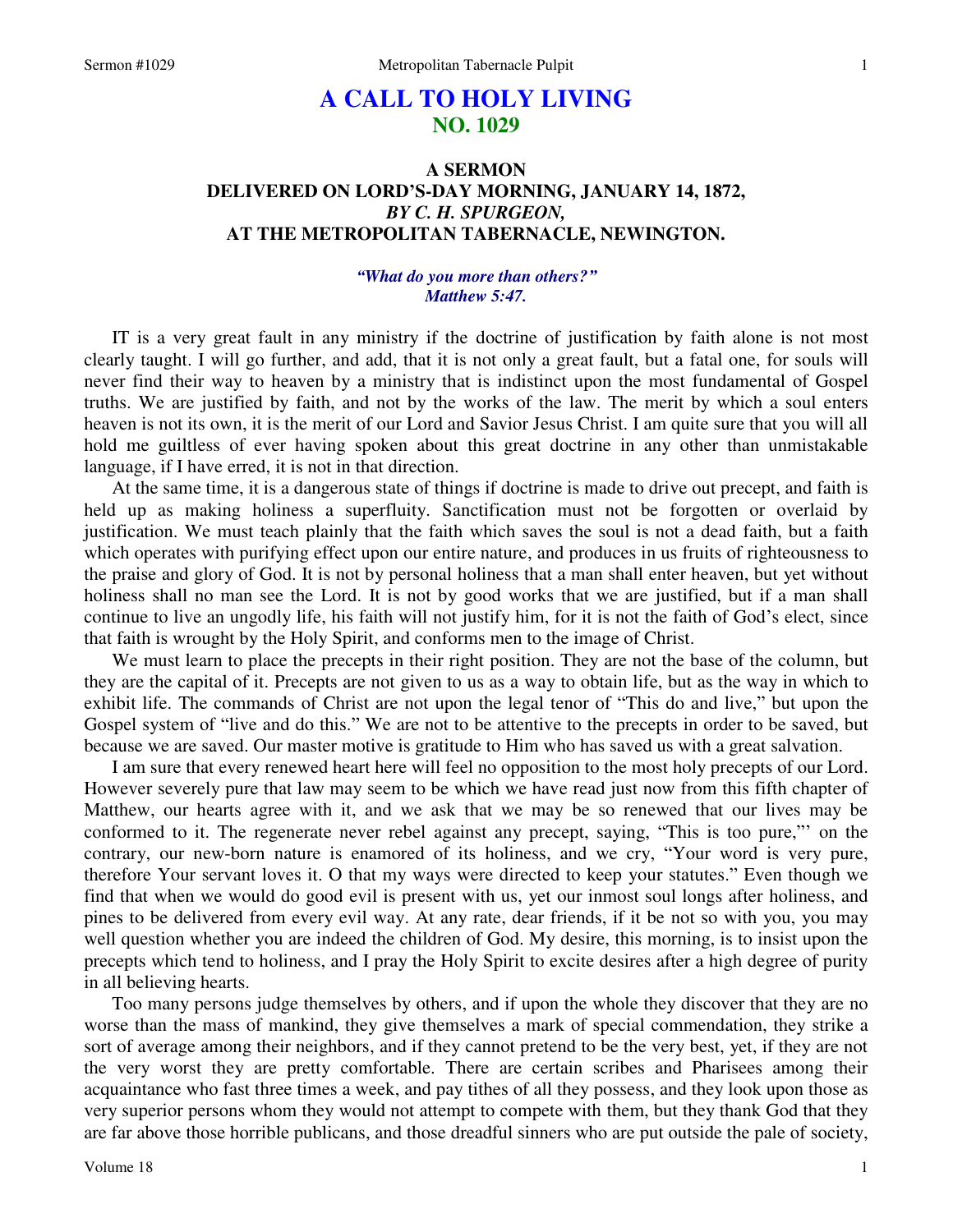# **A CALL TO HOLY LIVING NO. 1029**

## **A SERMON DELIVERED ON LORD'S-DAY MORNING, JANUARY 14, 1872,**  *BY C. H. SPURGEON,*  **AT THE METROPOLITAN TABERNACLE, NEWINGTON.**

### *"What do you more than others?" Matthew 5:47.*

IT is a very great fault in any ministry if the doctrine of justification by faith alone is not most clearly taught. I will go further, and add, that it is not only a great fault, but a fatal one, for souls will never find their way to heaven by a ministry that is indistinct upon the most fundamental of Gospel truths. We are justified by faith, and not by the works of the law. The merit by which a soul enters heaven is not its own, it is the merit of our Lord and Savior Jesus Christ. I am quite sure that you will all hold me guiltless of ever having spoken about this great doctrine in any other than unmistakable language, if I have erred, it is not in that direction.

At the same time, it is a dangerous state of things if doctrine is made to drive out precept, and faith is held up as making holiness a superfluity. Sanctification must not be forgotten or overlaid by justification. We must teach plainly that the faith which saves the soul is not a dead faith, but a faith which operates with purifying effect upon our entire nature, and produces in us fruits of righteousness to the praise and glory of God. It is not by personal holiness that a man shall enter heaven, but yet without holiness shall no man see the Lord. It is not by good works that we are justified, but if a man shall continue to live an ungodly life, his faith will not justify him, for it is not the faith of God's elect, since that faith is wrought by the Holy Spirit, and conforms men to the image of Christ.

We must learn to place the precepts in their right position. They are not the base of the column, but they are the capital of it. Precepts are not given to us as a way to obtain life, but as the way in which to exhibit life. The commands of Christ are not upon the legal tenor of "This do and live," but upon the Gospel system of "live and do this." We are not to be attentive to the precepts in order to be saved, but because we are saved. Our master motive is gratitude to Him who has saved us with a great salvation.

I am sure that every renewed heart here will feel no opposition to the most holy precepts of our Lord. However severely pure that law may seem to be which we have read just now from this fifth chapter of Matthew, our hearts agree with it, and we ask that we may be so renewed that our lives may be conformed to it. The regenerate never rebel against any precept, saying, "This is too pure,"' on the contrary, our new-born nature is enamored of its holiness, and we cry, "Your word is very pure, therefore Your servant loves it. O that my ways were directed to keep your statutes." Even though we find that when we would do good evil is present with us, yet our inmost soul longs after holiness, and pines to be delivered from every evil way. At any rate, dear friends, if it be not so with you, you may well question whether you are indeed the children of God. My desire, this morning, is to insist upon the precepts which tend to holiness, and I pray the Holy Spirit to excite desires after a high degree of purity in all believing hearts.

Too many persons judge themselves by others, and if upon the whole they discover that they are no worse than the mass of mankind, they give themselves a mark of special commendation, they strike a sort of average among their neighbors, and if they cannot pretend to be the very best, yet, if they are not the very worst they are pretty comfortable. There are certain scribes and Pharisees among their acquaintance who fast three times a week, and pay tithes of all they possess, and they look upon those as very superior persons whom they would not attempt to compete with them, but they thank God that they are far above those horrible publicans, and those dreadful sinners who are put outside the pale of society,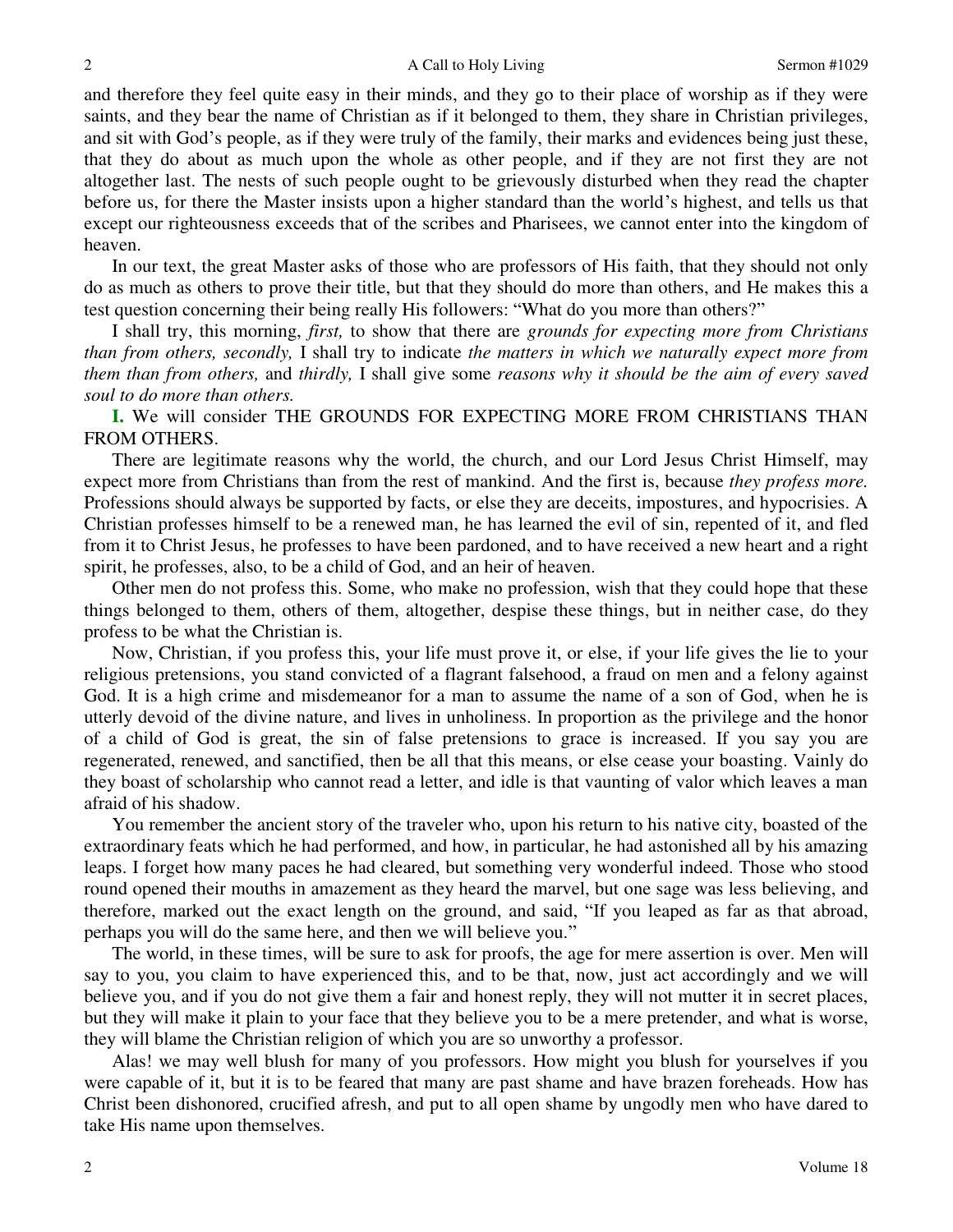and therefore they feel quite easy in their minds, and they go to their place of worship as if they were saints, and they bear the name of Christian as if it belonged to them, they share in Christian privileges, and sit with God's people, as if they were truly of the family, their marks and evidences being just these, that they do about as much upon the whole as other people, and if they are not first they are not altogether last. The nests of such people ought to be grievously disturbed when they read the chapter before us, for there the Master insists upon a higher standard than the world's highest, and tells us that except our righteousness exceeds that of the scribes and Pharisees, we cannot enter into the kingdom of heaven.

In our text, the great Master asks of those who are professors of His faith, that they should not only do as much as others to prove their title, but that they should do more than others, and He makes this a test question concerning their being really His followers: "What do you more than others?"

I shall try, this morning, *first,* to show that there are *grounds for expecting more from Christians than from others, secondly,* I shall try to indicate *the matters in which we naturally expect more from them than from others,* and *thirdly,* I shall give some *reasons why it should be the aim of every saved soul to do more than others.*

**I.** We will consider THE GROUNDS FOR EXPECTING MORE FROM CHRISTIANS THAN FROM OTHERS.

There are legitimate reasons why the world, the church, and our Lord Jesus Christ Himself, may expect more from Christians than from the rest of mankind. And the first is, because *they profess more.* Professions should always be supported by facts, or else they are deceits, impostures, and hypocrisies. A Christian professes himself to be a renewed man, he has learned the evil of sin, repented of it, and fled from it to Christ Jesus, he professes to have been pardoned, and to have received a new heart and a right spirit, he professes, also, to be a child of God, and an heir of heaven.

Other men do not profess this. Some, who make no profession, wish that they could hope that these things belonged to them, others of them, altogether, despise these things, but in neither case, do they profess to be what the Christian is.

Now, Christian, if you profess this, your life must prove it, or else, if your life gives the lie to your religious pretensions, you stand convicted of a flagrant falsehood, a fraud on men and a felony against God. It is a high crime and misdemeanor for a man to assume the name of a son of God, when he is utterly devoid of the divine nature, and lives in unholiness. In proportion as the privilege and the honor of a child of God is great, the sin of false pretensions to grace is increased. If you say you are regenerated, renewed, and sanctified, then be all that this means, or else cease your boasting. Vainly do they boast of scholarship who cannot read a letter, and idle is that vaunting of valor which leaves a man afraid of his shadow.

You remember the ancient story of the traveler who, upon his return to his native city, boasted of the extraordinary feats which he had performed, and how, in particular, he had astonished all by his amazing leaps. I forget how many paces he had cleared, but something very wonderful indeed. Those who stood round opened their mouths in amazement as they heard the marvel, but one sage was less believing, and therefore, marked out the exact length on the ground, and said, "If you leaped as far as that abroad, perhaps you will do the same here, and then we will believe you."

The world, in these times, will be sure to ask for proofs, the age for mere assertion is over. Men will say to you, you claim to have experienced this, and to be that, now, just act accordingly and we will believe you, and if you do not give them a fair and honest reply, they will not mutter it in secret places, but they will make it plain to your face that they believe you to be a mere pretender, and what is worse, they will blame the Christian religion of which you are so unworthy a professor.

Alas! we may well blush for many of you professors. How might you blush for yourselves if you were capable of it, but it is to be feared that many are past shame and have brazen foreheads. How has Christ been dishonored, crucified afresh, and put to all open shame by ungodly men who have dared to take His name upon themselves.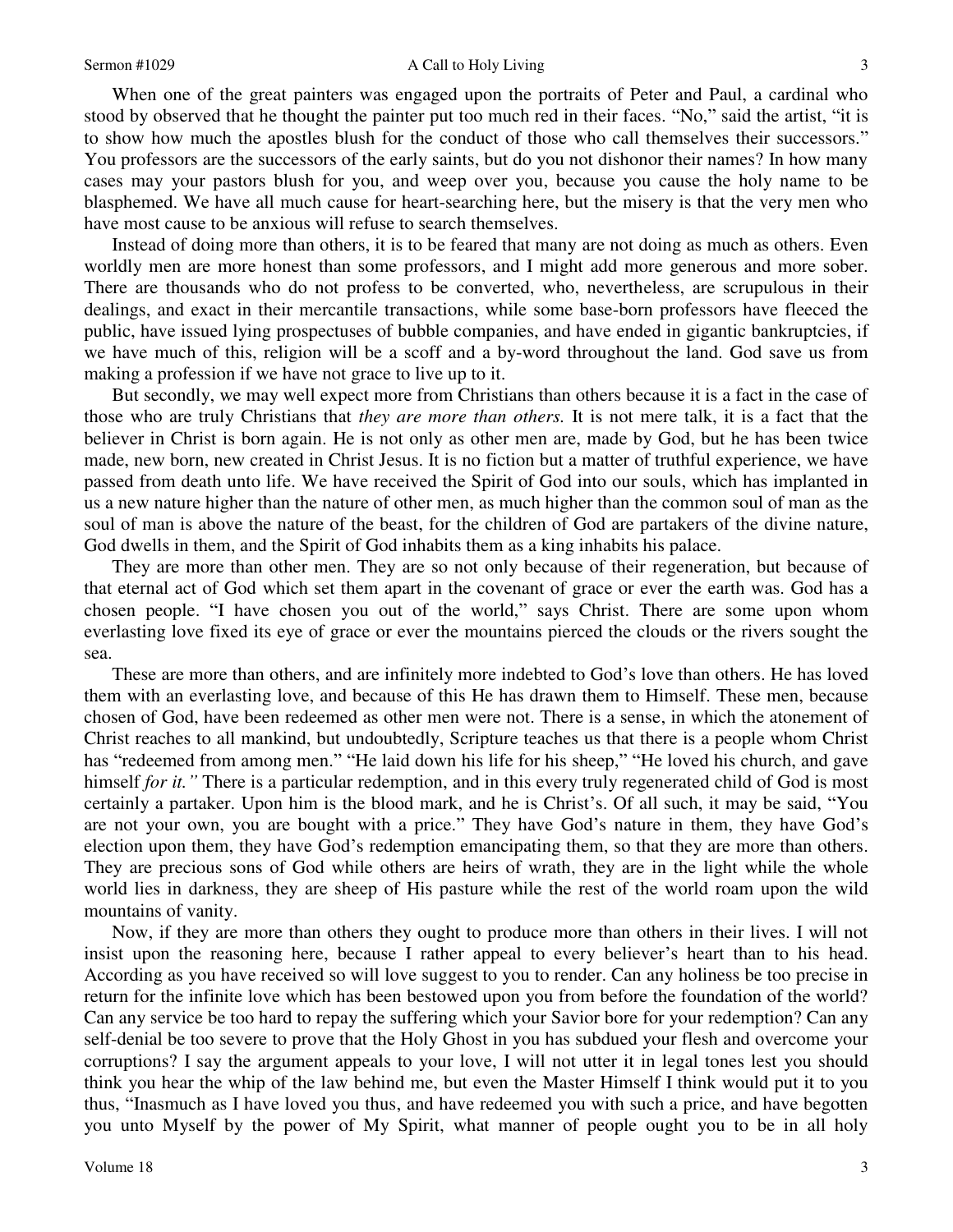#### Sermon #1029 A Call to Holy Living

When one of the great painters was engaged upon the portraits of Peter and Paul, a cardinal who stood by observed that he thought the painter put too much red in their faces. "No," said the artist, "it is to show how much the apostles blush for the conduct of those who call themselves their successors." You professors are the successors of the early saints, but do you not dishonor their names? In how many cases may your pastors blush for you, and weep over you, because you cause the holy name to be blasphemed. We have all much cause for heart-searching here, but the misery is that the very men who have most cause to be anxious will refuse to search themselves.

Instead of doing more than others, it is to be feared that many are not doing as much as others. Even worldly men are more honest than some professors, and I might add more generous and more sober. There are thousands who do not profess to be converted, who, nevertheless, are scrupulous in their dealings, and exact in their mercantile transactions, while some base-born professors have fleeced the public, have issued lying prospectuses of bubble companies, and have ended in gigantic bankruptcies, if we have much of this, religion will be a scoff and a by-word throughout the land. God save us from making a profession if we have not grace to live up to it.

But secondly, we may well expect more from Christians than others because it is a fact in the case of those who are truly Christians that *they are more than others.* It is not mere talk, it is a fact that the believer in Christ is born again. He is not only as other men are, made by God, but he has been twice made, new born, new created in Christ Jesus. It is no fiction but a matter of truthful experience, we have passed from death unto life. We have received the Spirit of God into our souls, which has implanted in us a new nature higher than the nature of other men, as much higher than the common soul of man as the soul of man is above the nature of the beast, for the children of God are partakers of the divine nature, God dwells in them, and the Spirit of God inhabits them as a king inhabits his palace.

They are more than other men. They are so not only because of their regeneration, but because of that eternal act of God which set them apart in the covenant of grace or ever the earth was. God has a chosen people. "I have chosen you out of the world," says Christ. There are some upon whom everlasting love fixed its eye of grace or ever the mountains pierced the clouds or the rivers sought the sea.

These are more than others, and are infinitely more indebted to God's love than others. He has loved them with an everlasting love, and because of this He has drawn them to Himself. These men, because chosen of God, have been redeemed as other men were not. There is a sense, in which the atonement of Christ reaches to all mankind, but undoubtedly, Scripture teaches us that there is a people whom Christ has "redeemed from among men." "He laid down his life for his sheep," "He loved his church, and gave himself *for it."* There is a particular redemption, and in this every truly regenerated child of God is most certainly a partaker. Upon him is the blood mark, and he is Christ's. Of all such, it may be said, "You are not your own, you are bought with a price." They have God's nature in them, they have God's election upon them, they have God's redemption emancipating them, so that they are more than others. They are precious sons of God while others are heirs of wrath, they are in the light while the whole world lies in darkness, they are sheep of His pasture while the rest of the world roam upon the wild mountains of vanity.

Now, if they are more than others they ought to produce more than others in their lives. I will not insist upon the reasoning here, because I rather appeal to every believer's heart than to his head. According as you have received so will love suggest to you to render. Can any holiness be too precise in return for the infinite love which has been bestowed upon you from before the foundation of the world? Can any service be too hard to repay the suffering which your Savior bore for your redemption? Can any self-denial be too severe to prove that the Holy Ghost in you has subdued your flesh and overcome your corruptions? I say the argument appeals to your love, I will not utter it in legal tones lest you should think you hear the whip of the law behind me, but even the Master Himself I think would put it to you thus, "Inasmuch as I have loved you thus, and have redeemed you with such a price, and have begotten you unto Myself by the power of My Spirit, what manner of people ought you to be in all holy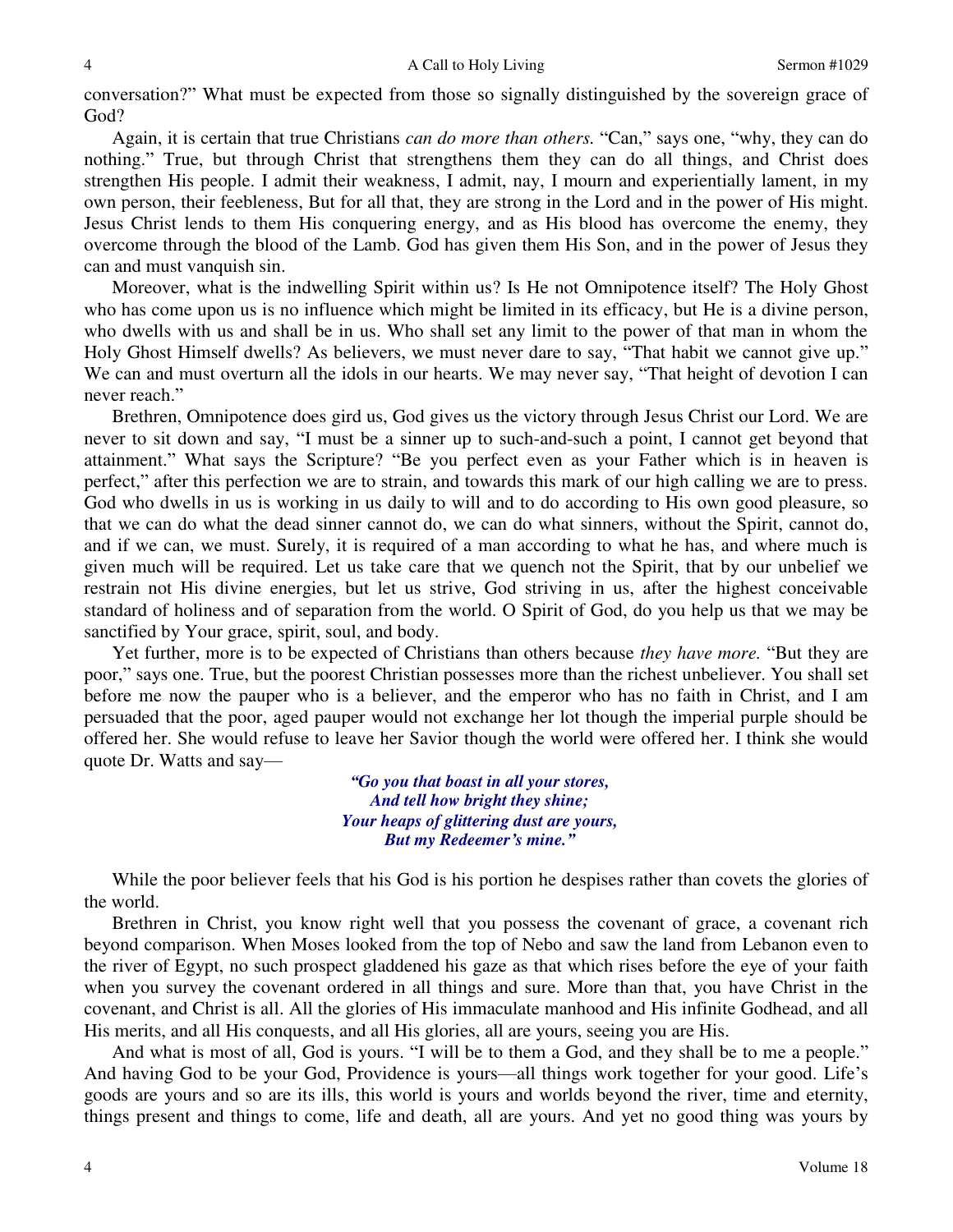conversation?" What must be expected from those so signally distinguished by the sovereign grace of God?

Again, it is certain that true Christians *can do more than others.* "Can," says one, "why, they can do nothing." True, but through Christ that strengthens them they can do all things, and Christ does strengthen His people. I admit their weakness, I admit, nay, I mourn and experientially lament, in my own person, their feebleness, But for all that, they are strong in the Lord and in the power of His might. Jesus Christ lends to them His conquering energy, and as His blood has overcome the enemy, they overcome through the blood of the Lamb. God has given them His Son, and in the power of Jesus they can and must vanquish sin.

Moreover, what is the indwelling Spirit within us? Is He not Omnipotence itself? The Holy Ghost who has come upon us is no influence which might be limited in its efficacy, but He is a divine person, who dwells with us and shall be in us. Who shall set any limit to the power of that man in whom the Holy Ghost Himself dwells? As believers, we must never dare to say, "That habit we cannot give up." We can and must overturn all the idols in our hearts. We may never say, "That height of devotion I can never reach."

Brethren, Omnipotence does gird us, God gives us the victory through Jesus Christ our Lord. We are never to sit down and say, "I must be a sinner up to such-and-such a point, I cannot get beyond that attainment." What says the Scripture? "Be you perfect even as your Father which is in heaven is perfect," after this perfection we are to strain, and towards this mark of our high calling we are to press. God who dwells in us is working in us daily to will and to do according to His own good pleasure, so that we can do what the dead sinner cannot do, we can do what sinners, without the Spirit, cannot do, and if we can, we must. Surely, it is required of a man according to what he has, and where much is given much will be required. Let us take care that we quench not the Spirit, that by our unbelief we restrain not His divine energies, but let us strive, God striving in us, after the highest conceivable standard of holiness and of separation from the world. O Spirit of God, do you help us that we may be sanctified by Your grace, spirit, soul, and body.

Yet further, more is to be expected of Christians than others because *they have more.* "But they are poor," says one. True, but the poorest Christian possesses more than the richest unbeliever. You shall set before me now the pauper who is a believer, and the emperor who has no faith in Christ, and I am persuaded that the poor, aged pauper would not exchange her lot though the imperial purple should be offered her. She would refuse to leave her Savior though the world were offered her. I think she would quote Dr. Watts and say—

> *"Go you that boast in all your stores, And tell how bright they shine; Your heaps of glittering dust are yours, But my Redeemer's mine."*

 While the poor believer feels that his God is his portion he despises rather than covets the glories of the world.

Brethren in Christ, you know right well that you possess the covenant of grace, a covenant rich beyond comparison. When Moses looked from the top of Nebo and saw the land from Lebanon even to the river of Egypt, no such prospect gladdened his gaze as that which rises before the eye of your faith when you survey the covenant ordered in all things and sure. More than that, you have Christ in the covenant, and Christ is all. All the glories of His immaculate manhood and His infinite Godhead, and all His merits, and all His conquests, and all His glories, all are yours, seeing you are His.

And what is most of all, God is yours. "I will be to them a God, and they shall be to me a people." And having God to be your God, Providence is yours—all things work together for your good. Life's goods are yours and so are its ills, this world is yours and worlds beyond the river, time and eternity, things present and things to come, life and death, all are yours. And yet no good thing was yours by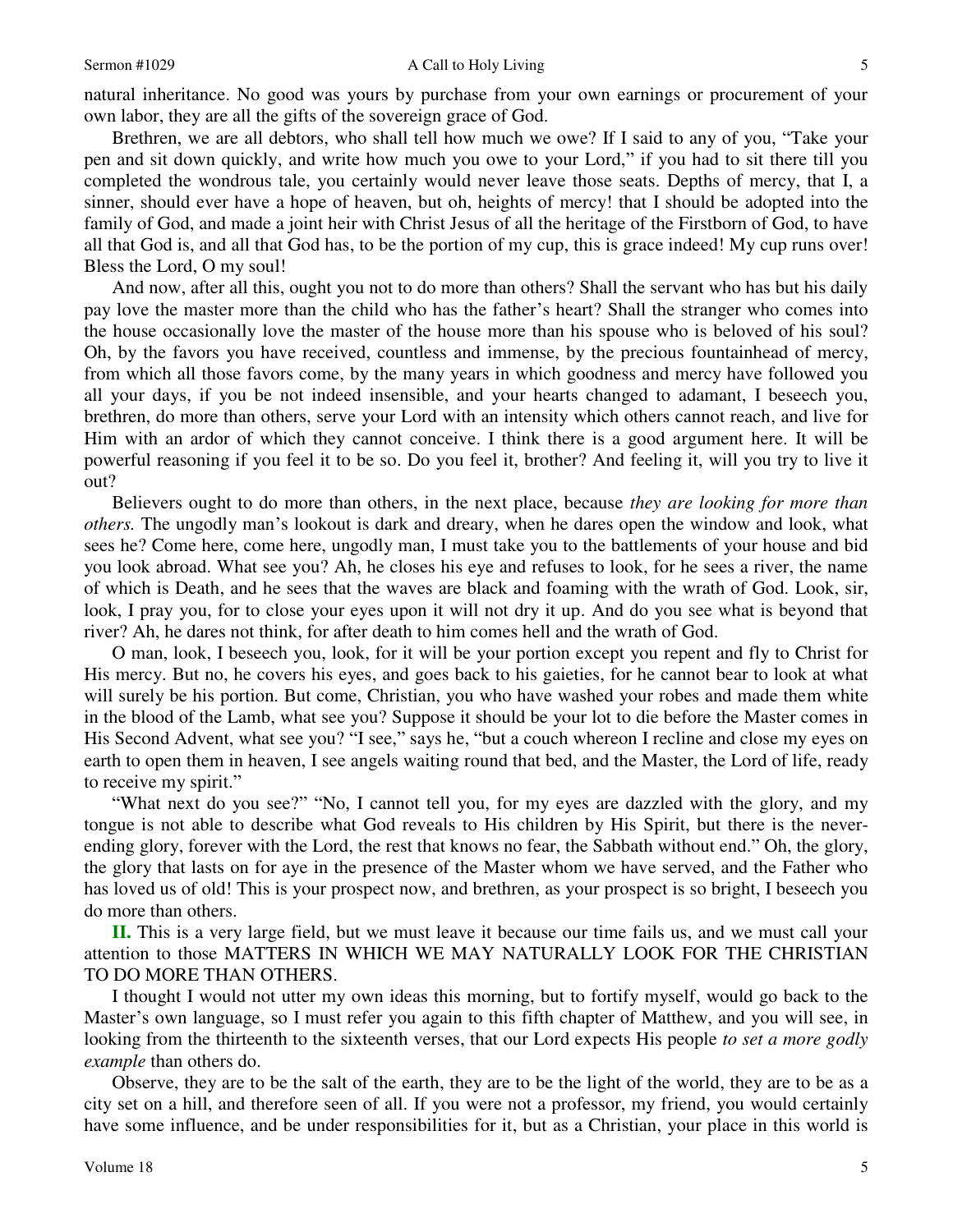natural inheritance. No good was yours by purchase from your own earnings or procurement of your own labor, they are all the gifts of the sovereign grace of God.

Brethren, we are all debtors, who shall tell how much we owe? If I said to any of you, "Take your pen and sit down quickly, and write how much you owe to your Lord," if you had to sit there till you completed the wondrous tale, you certainly would never leave those seats. Depths of mercy, that I, a sinner, should ever have a hope of heaven, but oh, heights of mercy! that I should be adopted into the family of God, and made a joint heir with Christ Jesus of all the heritage of the Firstborn of God, to have all that God is, and all that God has, to be the portion of my cup, this is grace indeed! My cup runs over! Bless the Lord, O my soul!

And now, after all this, ought you not to do more than others? Shall the servant who has but his daily pay love the master more than the child who has the father's heart? Shall the stranger who comes into the house occasionally love the master of the house more than his spouse who is beloved of his soul? Oh, by the favors you have received, countless and immense, by the precious fountainhead of mercy, from which all those favors come, by the many years in which goodness and mercy have followed you all your days, if you be not indeed insensible, and your hearts changed to adamant, I beseech you, brethren, do more than others, serve your Lord with an intensity which others cannot reach, and live for Him with an ardor of which they cannot conceive. I think there is a good argument here. It will be powerful reasoning if you feel it to be so. Do you feel it, brother? And feeling it, will you try to live it out?

Believers ought to do more than others, in the next place, because *they are looking for more than others.* The ungodly man's lookout is dark and dreary, when he dares open the window and look, what sees he? Come here, come here, ungodly man, I must take you to the battlements of your house and bid you look abroad. What see you? Ah, he closes his eye and refuses to look, for he sees a river, the name of which is Death, and he sees that the waves are black and foaming with the wrath of God. Look, sir, look, I pray you, for to close your eyes upon it will not dry it up. And do you see what is beyond that river? Ah, he dares not think, for after death to him comes hell and the wrath of God.

O man, look, I beseech you, look, for it will be your portion except you repent and fly to Christ for His mercy. But no, he covers his eyes, and goes back to his gaieties, for he cannot bear to look at what will surely be his portion. But come, Christian, you who have washed your robes and made them white in the blood of the Lamb, what see you? Suppose it should be your lot to die before the Master comes in His Second Advent, what see you? "I see," says he, "but a couch whereon I recline and close my eyes on earth to open them in heaven, I see angels waiting round that bed, and the Master, the Lord of life, ready to receive my spirit."

"What next do you see?" "No, I cannot tell you, for my eyes are dazzled with the glory, and my tongue is not able to describe what God reveals to His children by His Spirit, but there is the neverending glory, forever with the Lord, the rest that knows no fear, the Sabbath without end." Oh, the glory, the glory that lasts on for aye in the presence of the Master whom we have served, and the Father who has loved us of old! This is your prospect now, and brethren, as your prospect is so bright, I beseech you do more than others.

**II.** This is a very large field, but we must leave it because our time fails us, and we must call your attention to those MATTERS IN WHICH WE MAY NATURALLY LOOK FOR THE CHRISTIAN TO DO MORE THAN OTHERS.

I thought I would not utter my own ideas this morning, but to fortify myself, would go back to the Master's own language, so I must refer you again to this fifth chapter of Matthew, and you will see, in looking from the thirteenth to the sixteenth verses, that our Lord expects His people *to set a more godly example* than others do.

Observe, they are to be the salt of the earth, they are to be the light of the world, they are to be as a city set on a hill, and therefore seen of all. If you were not a professor, my friend, you would certainly have some influence, and be under responsibilities for it, but as a Christian, your place in this world is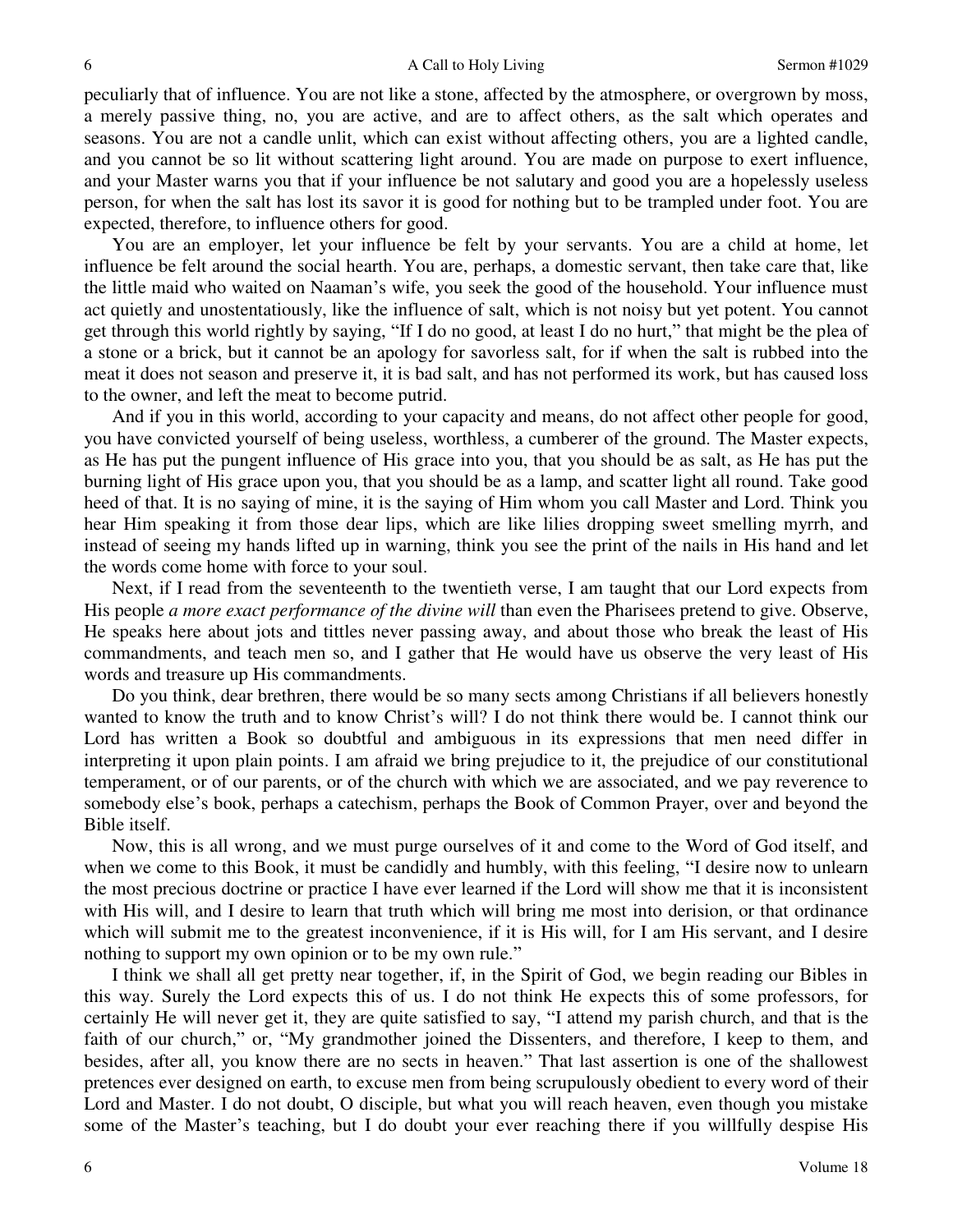peculiarly that of influence. You are not like a stone, affected by the atmosphere, or overgrown by moss, a merely passive thing, no, you are active, and are to affect others, as the salt which operates and seasons. You are not a candle unlit, which can exist without affecting others, you are a lighted candle, and you cannot be so lit without scattering light around. You are made on purpose to exert influence, and your Master warns you that if your influence be not salutary and good you are a hopelessly useless person, for when the salt has lost its savor it is good for nothing but to be trampled under foot. You are expected, therefore, to influence others for good.

You are an employer, let your influence be felt by your servants. You are a child at home, let influence be felt around the social hearth. You are, perhaps, a domestic servant, then take care that, like the little maid who waited on Naaman's wife, you seek the good of the household. Your influence must act quietly and unostentatiously, like the influence of salt, which is not noisy but yet potent. You cannot get through this world rightly by saying, "If I do no good, at least I do no hurt," that might be the plea of a stone or a brick, but it cannot be an apology for savorless salt, for if when the salt is rubbed into the meat it does not season and preserve it, it is bad salt, and has not performed its work, but has caused loss to the owner, and left the meat to become putrid.

And if you in this world, according to your capacity and means, do not affect other people for good, you have convicted yourself of being useless, worthless, a cumberer of the ground. The Master expects, as He has put the pungent influence of His grace into you, that you should be as salt, as He has put the burning light of His grace upon you, that you should be as a lamp, and scatter light all round. Take good heed of that. It is no saying of mine, it is the saying of Him whom you call Master and Lord. Think you hear Him speaking it from those dear lips, which are like lilies dropping sweet smelling myrrh, and instead of seeing my hands lifted up in warning, think you see the print of the nails in His hand and let the words come home with force to your soul.

Next, if I read from the seventeenth to the twentieth verse, I am taught that our Lord expects from His people *a more exact performance of the divine will* than even the Pharisees pretend to give. Observe, He speaks here about jots and tittles never passing away, and about those who break the least of His commandments, and teach men so, and I gather that He would have us observe the very least of His words and treasure up His commandments.

Do you think, dear brethren, there would be so many sects among Christians if all believers honestly wanted to know the truth and to know Christ's will? I do not think there would be. I cannot think our Lord has written a Book so doubtful and ambiguous in its expressions that men need differ in interpreting it upon plain points. I am afraid we bring prejudice to it, the prejudice of our constitutional temperament, or of our parents, or of the church with which we are associated, and we pay reverence to somebody else's book, perhaps a catechism, perhaps the Book of Common Prayer, over and beyond the Bible itself.

Now, this is all wrong, and we must purge ourselves of it and come to the Word of God itself, and when we come to this Book, it must be candidly and humbly, with this feeling, "I desire now to unlearn the most precious doctrine or practice I have ever learned if the Lord will show me that it is inconsistent with His will, and I desire to learn that truth which will bring me most into derision, or that ordinance which will submit me to the greatest inconvenience, if it is His will, for I am His servant, and I desire nothing to support my own opinion or to be my own rule."

I think we shall all get pretty near together, if, in the Spirit of God, we begin reading our Bibles in this way. Surely the Lord expects this of us. I do not think He expects this of some professors, for certainly He will never get it, they are quite satisfied to say, "I attend my parish church, and that is the faith of our church," or, "My grandmother joined the Dissenters, and therefore, I keep to them, and besides, after all, you know there are no sects in heaven." That last assertion is one of the shallowest pretences ever designed on earth, to excuse men from being scrupulously obedient to every word of their Lord and Master. I do not doubt, O disciple, but what you will reach heaven, even though you mistake some of the Master's teaching, but I do doubt your ever reaching there if you willfully despise His

6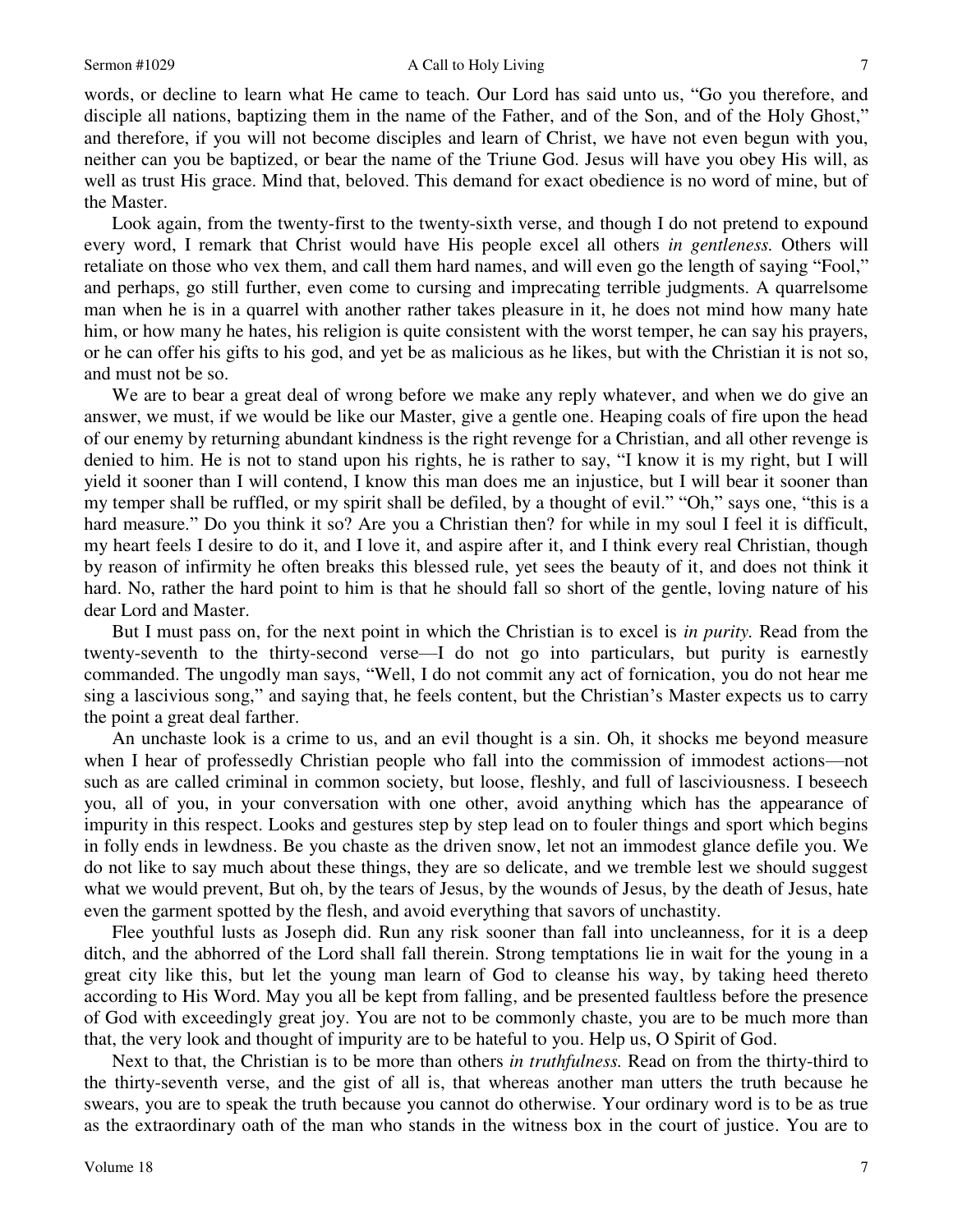words, or decline to learn what He came to teach. Our Lord has said unto us, "Go you therefore, and disciple all nations, baptizing them in the name of the Father, and of the Son, and of the Holy Ghost," and therefore, if you will not become disciples and learn of Christ, we have not even begun with you, neither can you be baptized, or bear the name of the Triune God. Jesus will have you obey His will, as well as trust His grace. Mind that, beloved. This demand for exact obedience is no word of mine, but of the Master.

Look again, from the twenty-first to the twenty-sixth verse, and though I do not pretend to expound every word, I remark that Christ would have His people excel all others *in gentleness.* Others will retaliate on those who vex them, and call them hard names, and will even go the length of saying "Fool," and perhaps, go still further, even come to cursing and imprecating terrible judgments. A quarrelsome man when he is in a quarrel with another rather takes pleasure in it, he does not mind how many hate him, or how many he hates, his religion is quite consistent with the worst temper, he can say his prayers, or he can offer his gifts to his god, and yet be as malicious as he likes, but with the Christian it is not so, and must not be so.

We are to bear a great deal of wrong before we make any reply whatever, and when we do give an answer, we must, if we would be like our Master, give a gentle one. Heaping coals of fire upon the head of our enemy by returning abundant kindness is the right revenge for a Christian, and all other revenge is denied to him. He is not to stand upon his rights, he is rather to say, "I know it is my right, but I will yield it sooner than I will contend, I know this man does me an injustice, but I will bear it sooner than my temper shall be ruffled, or my spirit shall be defiled, by a thought of evil." "Oh," says one, "this is a hard measure." Do you think it so? Are you a Christian then? for while in my soul I feel it is difficult, my heart feels I desire to do it, and I love it, and aspire after it, and I think every real Christian, though by reason of infirmity he often breaks this blessed rule, yet sees the beauty of it, and does not think it hard. No, rather the hard point to him is that he should fall so short of the gentle, loving nature of his dear Lord and Master.

But I must pass on, for the next point in which the Christian is to excel is *in purity.* Read from the twenty-seventh to the thirty-second verse—I do not go into particulars, but purity is earnestly commanded. The ungodly man says, "Well, I do not commit any act of fornication, you do not hear me sing a lascivious song," and saying that, he feels content, but the Christian's Master expects us to carry the point a great deal farther.

An unchaste look is a crime to us, and an evil thought is a sin. Oh, it shocks me beyond measure when I hear of professedly Christian people who fall into the commission of immodest actions—not such as are called criminal in common society, but loose, fleshly, and full of lasciviousness. I beseech you, all of you, in your conversation with one other, avoid anything which has the appearance of impurity in this respect. Looks and gestures step by step lead on to fouler things and sport which begins in folly ends in lewdness. Be you chaste as the driven snow, let not an immodest glance defile you. We do not like to say much about these things, they are so delicate, and we tremble lest we should suggest what we would prevent, But oh, by the tears of Jesus, by the wounds of Jesus, by the death of Jesus, hate even the garment spotted by the flesh, and avoid everything that savors of unchastity.

Flee youthful lusts as Joseph did. Run any risk sooner than fall into uncleanness, for it is a deep ditch, and the abhorred of the Lord shall fall therein. Strong temptations lie in wait for the young in a great city like this, but let the young man learn of God to cleanse his way, by taking heed thereto according to His Word. May you all be kept from falling, and be presented faultless before the presence of God with exceedingly great joy. You are not to be commonly chaste, you are to be much more than that, the very look and thought of impurity are to be hateful to you. Help us, O Spirit of God.

Next to that, the Christian is to be more than others *in truthfulness.* Read on from the thirty-third to the thirty-seventh verse, and the gist of all is, that whereas another man utters the truth because he swears, you are to speak the truth because you cannot do otherwise. Your ordinary word is to be as true as the extraordinary oath of the man who stands in the witness box in the court of justice. You are to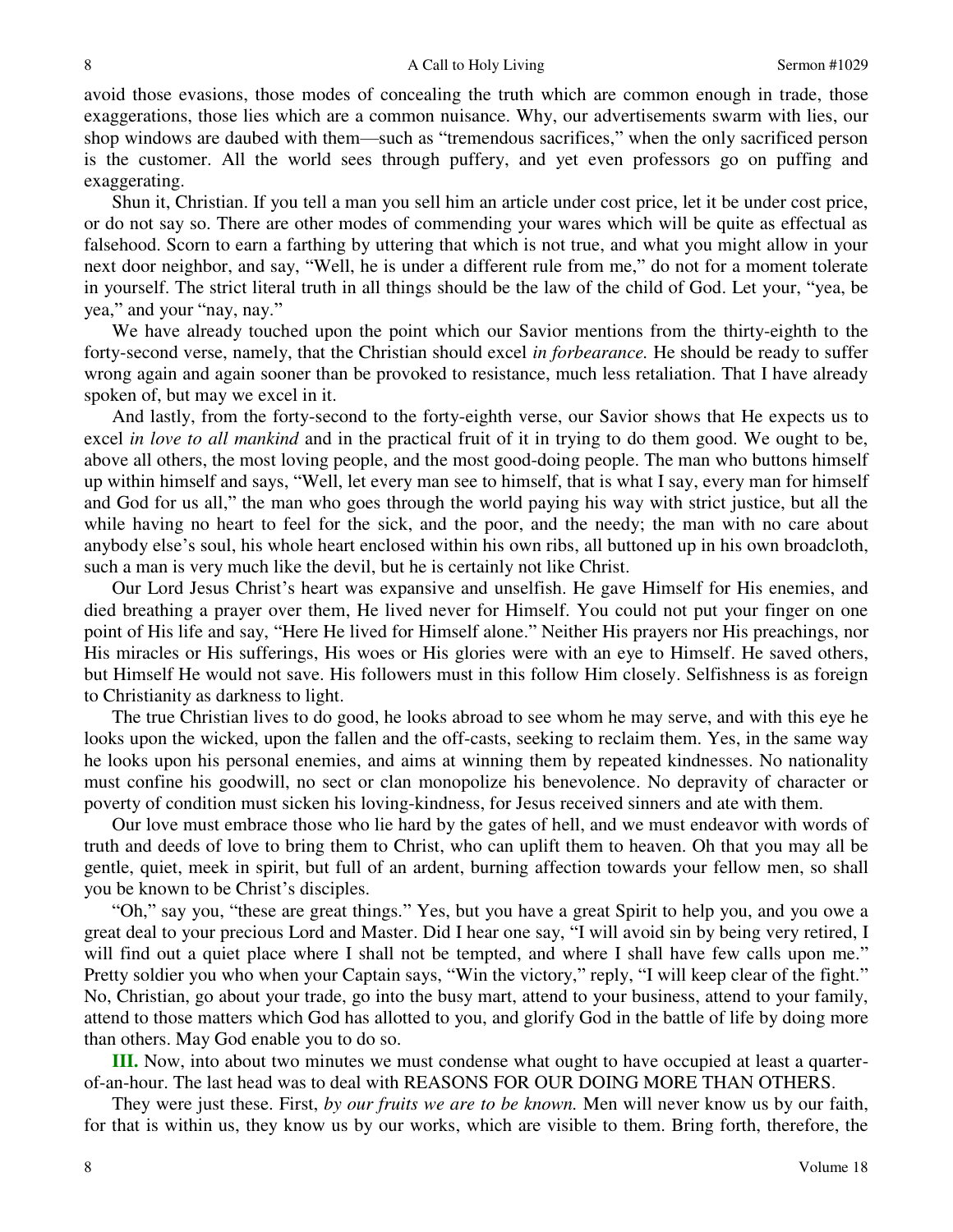avoid those evasions, those modes of concealing the truth which are common enough in trade, those exaggerations, those lies which are a common nuisance. Why, our advertisements swarm with lies, our shop windows are daubed with them—such as "tremendous sacrifices," when the only sacrificed person is the customer. All the world sees through puffery, and yet even professors go on puffing and exaggerating.

Shun it, Christian. If you tell a man you sell him an article under cost price, let it be under cost price, or do not say so. There are other modes of commending your wares which will be quite as effectual as falsehood. Scorn to earn a farthing by uttering that which is not true, and what you might allow in your next door neighbor, and say, "Well, he is under a different rule from me," do not for a moment tolerate in yourself. The strict literal truth in all things should be the law of the child of God. Let your, "yea, be yea," and your "nay, nay."

We have already touched upon the point which our Savior mentions from the thirty-eighth to the forty-second verse, namely, that the Christian should excel *in forbearance.* He should be ready to suffer wrong again and again sooner than be provoked to resistance, much less retaliation. That I have already spoken of, but may we excel in it.

And lastly, from the forty-second to the forty-eighth verse, our Savior shows that He expects us to excel *in love to all mankind* and in the practical fruit of it in trying to do them good. We ought to be, above all others, the most loving people, and the most good-doing people. The man who buttons himself up within himself and says, "Well, let every man see to himself, that is what I say, every man for himself and God for us all," the man who goes through the world paying his way with strict justice, but all the while having no heart to feel for the sick, and the poor, and the needy; the man with no care about anybody else's soul, his whole heart enclosed within his own ribs, all buttoned up in his own broadcloth, such a man is very much like the devil, but he is certainly not like Christ.

Our Lord Jesus Christ's heart was expansive and unselfish. He gave Himself for His enemies, and died breathing a prayer over them, He lived never for Himself. You could not put your finger on one point of His life and say, "Here He lived for Himself alone." Neither His prayers nor His preachings, nor His miracles or His sufferings, His woes or His glories were with an eye to Himself. He saved others, but Himself He would not save. His followers must in this follow Him closely. Selfishness is as foreign to Christianity as darkness to light.

The true Christian lives to do good, he looks abroad to see whom he may serve, and with this eye he looks upon the wicked, upon the fallen and the off-casts, seeking to reclaim them. Yes, in the same way he looks upon his personal enemies, and aims at winning them by repeated kindnesses. No nationality must confine his goodwill, no sect or clan monopolize his benevolence. No depravity of character or poverty of condition must sicken his loving-kindness, for Jesus received sinners and ate with them.

Our love must embrace those who lie hard by the gates of hell, and we must endeavor with words of truth and deeds of love to bring them to Christ, who can uplift them to heaven. Oh that you may all be gentle, quiet, meek in spirit, but full of an ardent, burning affection towards your fellow men, so shall you be known to be Christ's disciples.

"Oh," say you, "these are great things." Yes, but you have a great Spirit to help you, and you owe a great deal to your precious Lord and Master. Did I hear one say, "I will avoid sin by being very retired, I will find out a quiet place where I shall not be tempted, and where I shall have few calls upon me." Pretty soldier you who when your Captain says, "Win the victory," reply, "I will keep clear of the fight." No, Christian, go about your trade, go into the busy mart, attend to your business, attend to your family, attend to those matters which God has allotted to you, and glorify God in the battle of life by doing more than others. May God enable you to do so.

**III.** Now, into about two minutes we must condense what ought to have occupied at least a quarterof-an-hour. The last head was to deal with REASONS FOR OUR DOING MORE THAN OTHERS.

They were just these. First, *by our fruits we are to be known.* Men will never know us by our faith, for that is within us, they know us by our works, which are visible to them. Bring forth, therefore, the